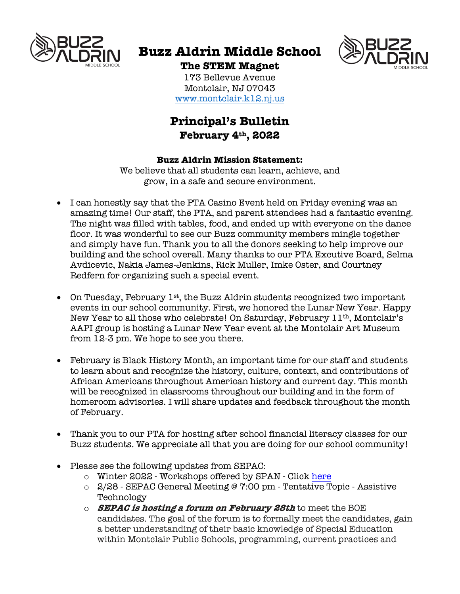

# **Buzz Aldrin Middle School**



**The STEM Magnet** 173 Bellevue Avenue Montclair, NJ 07043 www.montclair.k12.nj.us

## **Principal's Bulletin February 4th, 2022**

## **Buzz Aldrin Mission Statement:**

We believe that all students can learn, achieve, and grow, in a safe and secure environment.

- I can honestly say that the PTA Casino Event held on Friday evening was an amazing time! Our staff, the PTA, and parent attendees had a fantastic evening. The night was filled with tables, food, and ended up with everyone on the dance floor. It was wonderful to see our Buzz community members mingle together and simply have fun. Thank you to all the donors seeking to help improve our building and the school overall. Many thanks to our PTA Excutive Board, Selma Avdicevic, Nakia James-Jenkins, Rick Muller, Imke Oster, and Courtney Redfern for organizing such a special event.
- On Tuesday, February  $1^{st}$ , the Buzz Aldrin students recognized two important events in our school community. First, we honored the Lunar New Year. Happy New Year to all those who celebrate! On Saturday, February 11th, Montclair's AAPI group is hosting a Lunar New Year event at the Montclair Art Museum from 12-3 pm. We hope to see you there.
- February is Black History Month, an important time for our staff and students to learn about and recognize the history, culture, context, and contributions of African Americans throughout American history and current day. This month will be recognized in classrooms throughout our building and in the form of homeroom advisories. I will share updates and feedback throughout the month of February.
- Thank you to our PTA for hosting after school financial literacy classes for our Buzz students. We appreciate all that you are doing for our school community!
- Please see the following updates from SEPAC:
	- o Winter 2022 Workshops offered by SPAN Click here
	- o 2/28 SEPAC General Meeting @ 7:00 pm Tentative Topic Assistive Technology
	- o **SEPAC is hosting a forum on February 28th** to meet the BOE candidates. The goal of the forum is to formally meet the candidates, gain a better understanding of their basic knowledge of Special Education within Montclair Public Schools, programming, current practices and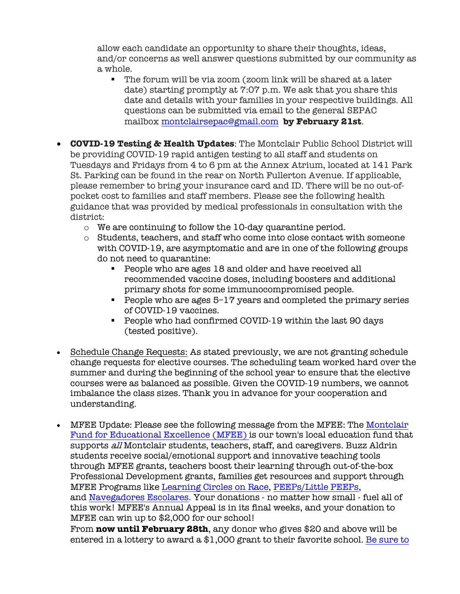allow each candidate an opportunity to share their thoughts, ideas, and/or concerns as well answer questions submitted by our community as a whole.

- The forum will be via zoom (zoom link will be shared at a later date) starting promptly at 7:07 p.m. We ask that you share this date and details with your families in your respective buildings. All questions can be submitted via email to the general SEPAC mailbox montclairsepac@gmail.com **by February 21st**.
- **COVID-19 Testing & Health Updates**: The Montclair Public School District will be providing COVID-19 rapid antigen testing to all staff and students on Tuesdays and Fridays from 4 to 6 pm at the Annex Atrium, located at 141 Park St. Parking can be found in the rear on North Fullerton Avenue. If applicable, please remember to bring your insurance card and ID. There will be no out-ofpocket cost to families and staff members. Please see the following health guidance that was provided by medical professionals in consultation with the district:
	- o We are continuing to follow the 10-day quarantine period.
	- o Students, teachers, and staff who come into close contact with someone with COVID-19, are asymptomatic and are in one of the following groups do not need to quarantine:
		- People who are ages 18 and older and have received all recommended vaccine doses, including boosters and additional primary shots for some immunocompromised people.
		- People who are ages 5–17 years and completed the primary series of COVID-19 vaccines.
		- People who had confirmed COVID-19 within the last 90 days (tested positive).
- Schedule Change Requests: As stated previously, we are not granting schedule change requests for elective courses. The scheduling team worked hard over the summer and during the beginning of the school year to ensure that the elective courses were as balanced as possible. Given the COVID-19 numbers, we cannot imbalance the class sizes. Thank you in advance for your cooperation and understanding.
- MFEE Update: Please see the following message from the MFEE: The Montclair Fund for Educational Excellence (MFEE) is our town's local education fund that supports all Montclair students, teachers, staff, and caregivers. Buzz Aldrin students receive social/emotional support and innovative teaching tools through MFEE grants, teachers boost their learning through out-of-the-box Professional Development grants, families get resources and support through MFEE Programs like Learning Circles on Race, PEEPs/Little PEEPs, and Navegadores Escolares. Your donations - no matter how small - fuel all of this work! MFEE's Annual Appeal is in its final weeks, and your donation to MFEE can win up to \$2,000 for our school!

From **now until February 28th**, any donor who gives \$20 and above will be entered in a lottery to award a \$1,000 grant to their favorite school. Be sure to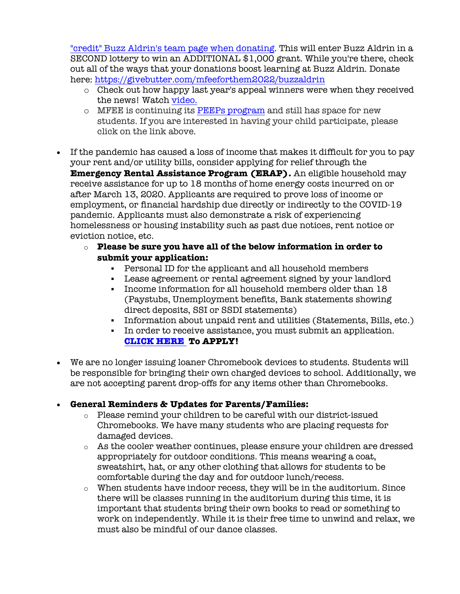"credit" Buzz Aldrin's team page when donating. This will enter Buzz Aldrin in a SECOND lottery to win an ADDITIONAL \$1,000 grant. While you're there, check out all of the ways that your donations boost learning at Buzz Aldrin. Donate here: https://givebutter.com/mfeeforthem2022/buzzaldrin

- o Check out how happy last year's appeal winners were when they received the news! Watch video.
- o MFEE is continuing its PEEPs program and still has space for new students. If you are interested in having your child participate, please click on the link above.
- If the pandemic has caused a loss of income that makes it difficult for you to pay your rent and/or utility bills, consider applying for relief through the **Emergency Rental Assistance Program (ERAP).** An eligible household may receive assistance for up to 18 months of home energy costs incurred on or after March 13, 2020. Applicants are required to prove loss of income or employment, or financial hardship due directly or indirectly to the COVID-19 pandemic. Applicants must also demonstrate a risk of experiencing homelessness or housing instability such as past due notices, rent notice or eviction notice, etc.
	- o **Please be sure you have all of the below information in order to submit your application:**
		- § Personal ID for the applicant and all household members
		- § Lease agreement or rental agreement signed by your landlord
		- § Income information for all household members older than 18 (Paystubs, Unemployment benefits, Bank statements showing direct deposits, SSI or SSDI statements)
		- § Information about unpaid rent and utilities (Statements, Bills, etc.)
		- § In order to receive assistance, you must submit an application. **CLICK HERE To APPLY!**
- We are no longer issuing loaner Chromebook devices to students. Students will be responsible for bringing their own charged devices to school. Additionally, we are not accepting parent drop-offs for any items other than Chromebooks.

## • **General Reminders & Updates for Parents/Families:**

- $\circ$  Please remind your children to be careful with our district-issued Chromebooks. We have many students who are placing requests for damaged devices.
- o As the cooler weather continues, please ensure your children are dressed appropriately for outdoor conditions. This means wearing a coat, sweatshirt, hat, or any other clothing that allows for students to be comfortable during the day and for outdoor lunch/recess.
- $\circ$  When students have indoor recess, they will be in the auditorium. Since there will be classes running in the auditorium during this time, it is important that students bring their own books to read or something to work on independently. While it is their free time to unwind and relax, we must also be mindful of our dance classes.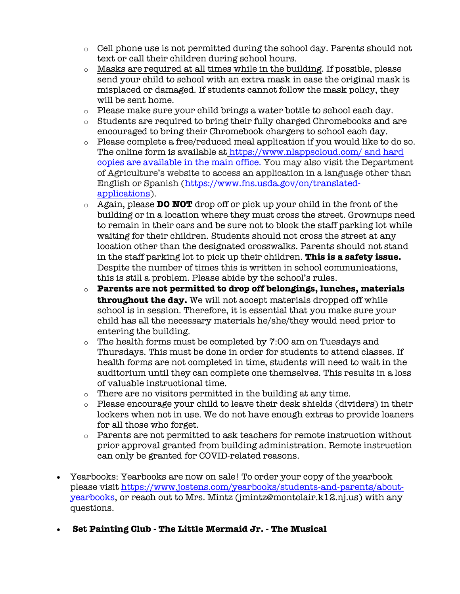- $\circ$  Cell phone use is not permitted during the school day. Parents should not text or call their children during school hours.
- o Masks are required at all times while in the building. If possible, please send your child to school with an extra mask in case the original mask is misplaced or damaged. If students cannot follow the mask policy, they will be sent home.
- $\circ$  Please make sure your child brings a water bottle to school each day.
- o Students are required to bring their fully charged Chromebooks and are encouraged to bring their Chromebook chargers to school each day.
- o Please complete a free/reduced meal application if you would like to do so. The online form is available at https://www.nlappscloud.com/ and hard copies are available in the main office. You may also visit the Department of Agriculture's website to access an application in a language other than English or Spanish (https://www.fns.usda.gov/cn/translatedapplications).
- o Again, please **DO NOT** drop off or pick up your child in the front of the building or in a location where they must cross the street. Grownups need to remain in their cars and be sure not to block the staff parking lot while waiting for their children. Students should not cross the street at any location other than the designated crosswalks. Parents should not stand in the staff parking lot to pick up their children. **This is a safety issue.** Despite the number of times this is written in school communications, this is still a problem. Please abide by the school's rules.
- o **Parents are not permitted to drop off belongings, lunches, materials throughout the day.** We will not accept materials dropped off while school is in session. Therefore, it is essential that you make sure your child has all the necessary materials he/she/they would need prior to entering the building.
- $\circ$  The health forms must be completed by 7:00 am on Tuesdays and Thursdays. This must be done in order for students to attend classes. If health forms are not completed in time, students will need to wait in the auditorium until they can complete one themselves. This results in a loss of valuable instructional time.
- o There are no visitors permitted in the building at any time.
- o Please encourage your child to leave their desk shields (dividers) in their lockers when not in use. We do not have enough extras to provide loaners for all those who forget.
- $\circ$  Parents are not permitted to ask teachers for remote instruction without prior approval granted from building administration. Remote instruction can only be granted for COVID-related reasons.
- Yearbooks: Yearbooks are now on sale! To order your copy of the yearbook please visit https://www.jostens.com/yearbooks/students-and-parents/aboutyearbooks, or reach out to Mrs. Mintz (jmintz@montclair.k12.nj.us) with any questions.
- **Set Painting Club - The Little Mermaid Jr. - The Musical**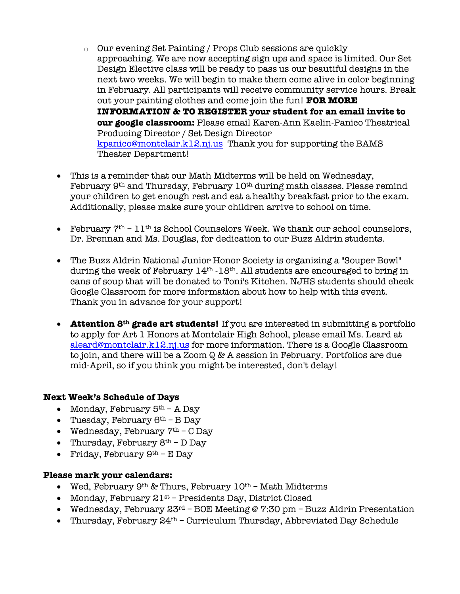- o Our evening Set Painting / Props Club sessions are quickly approaching. We are now accepting sign ups and space is limited. Our Set Design Elective class will be ready to pass us our beautiful designs in the next two weeks. We will begin to make them come alive in color beginning in February. All participants will receive community service hours. Break out your painting clothes and come join the fun! **FOR MORE INFORMATION & TO REGISTER your student for an email invite to our google classroom:** Please email Karen-Ann Kaelin-Panico Theatrical Producing Director / Set Design Director kpanico@montclair.k12.nj.us Thank you for supporting the BAMS Theater Department!
- This is a reminder that our Math Midterms will be held on Wednesday, February 9<sup>th</sup> and Thursday, February 10<sup>th</sup> during math classes. Please remind your children to get enough rest and eat a healthy breakfast prior to the exam. Additionally, please make sure your children arrive to school on time.
- February  $7<sup>th</sup> 11<sup>th</sup>$  is School Counselors Week. We thank our school counselors, Dr. Brennan and Ms. Douglas, for dedication to our Buzz Aldrin students.
- The Buzz Aldrin National Junior Honor Society is organizing a "Souper Bowl" during the week of February 14<sup>th</sup> -18<sup>th</sup>. All students are encouraged to bring in cans of soup that will be donated to Toni's Kitchen. NJHS students should check Google Classroom for more information about how to help with this event. Thank you in advance for your support!
- **Attention 8th grade art students!** If you are interested in submitting a portfolio to apply for Art 1 Honors at Montclair High School, please email Ms. Leard at aleard@montclair.k12.nj.us for more information. There is a Google Classroom to join, and there will be a Zoom Q & A session in February. Portfolios are due mid-April, so if you think you might be interested, don't delay!

## **Next Week's Schedule of Days**

- Monday, February  $5<sup>th</sup>$  A Day
- Tuesday, February  $6<sup>th</sup>$  B Day
- Wednesday, February  $7<sup>th</sup>$  C Day
- Thursday, February  $8<sup>th</sup>$  D Day
- Friday, February  $9<sup>th</sup> E$  Day

## **Please mark your calendars:**

- Wed, February  $9<sup>th</sup>$  & Thurs, February  $10<sup>th</sup>$  Math Midterms
- Monday, February  $21st$  Presidents Day, District Closed
- Wednesday, February  $23^{rd}$  BOE Meeting @ 7:30 pm Buzz Aldrin Presentation
- Thursday, February  $24<sup>th</sup>$  Curriculum Thursday, Abbreviated Day Schedule